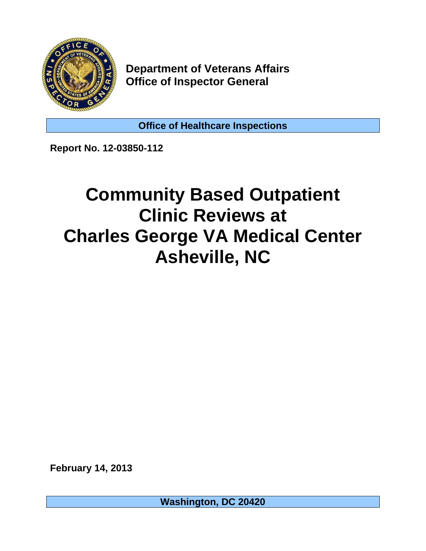

**Department of Veterans Affairs Office of Inspector General** 

**Office of Healthcare Inspections** 

**Report No. 12-03850-112** 

# **Community Based Outpatient Clinic Reviews at Charles George VA Medical Center Asheville, NC**

**February 14, 2013** 

**Washington, DC 20420**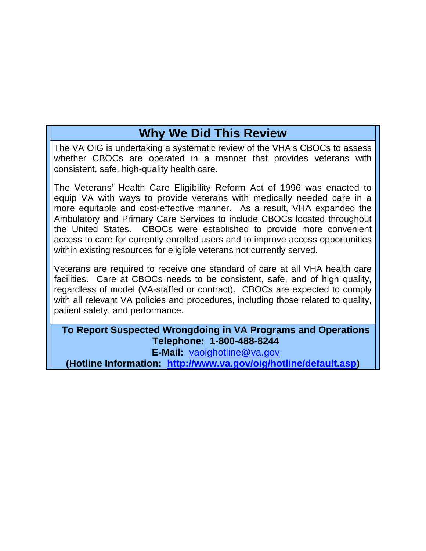# **Why We Did This Review**

The VA OIG is undertaking a systematic review of the VHA's CBOCs to assess whether CBOCs are operated in a manner that provides veterans with consistent, safe, high-quality health care.

The Veterans' Health Care Eligibility Reform Act of 1996 was enacted to equip VA with ways to provide veterans with medically needed care in a more equitable and cost-effective manner. As a result, VHA expanded the Ambulatory and Primary Care Services to include CBOCs located throughout the United States. CBOCs were established to provide more convenient access to care for currently enrolled users and to improve access opportunities within existing resources for eligible veterans not currently served.

Veterans are required to receive one standard of care at all VHA health care facilities. Care at CBOCs needs to be consistent, safe, and of high quality, regardless of model (VA-staffed or contract). CBOCs are expected to comply with all relevant VA policies and procedures, including those related to quality, patient safety, and performance.

**To Report Suspected Wrongdoing in VA Programs and Operations Telephone: 1-800-488-8244** 

**E-Mail:** [vaoighotline@va.gov](mailto:vaoighotline@va.gov) 

**(Hotline Information: [http://www.va.gov/oig/hotline/default.asp\)](http://www.va.gov/oig/hotline/default.asp)**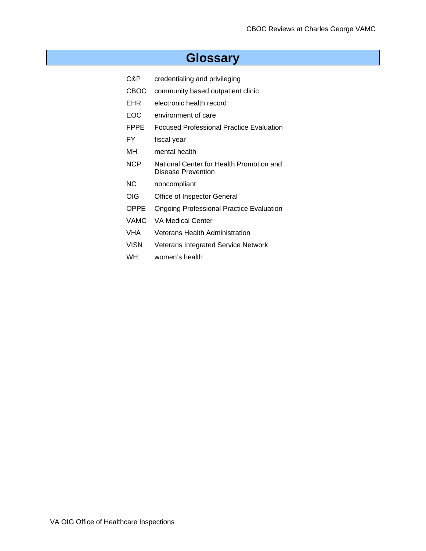# **Glossary**

- C&P credentialing and privileging
- CBOC community based outpatient clinic
- EHR electronic health record
- EOC environment of care
- FPPE Focused Professional Practice Evaluation
- FY fiscal year
- MH mental health
- NCP National Center for Health Promotion and Disease Prevention
- NC noncompliant
- OIG Office of Inspector General
- OPPE Ongoing Professional Practice Evaluation
- VAMC VA Medical Center
- VHA Veterans Health Administration
- VISN Veterans Integrated Service Network
- WH women's health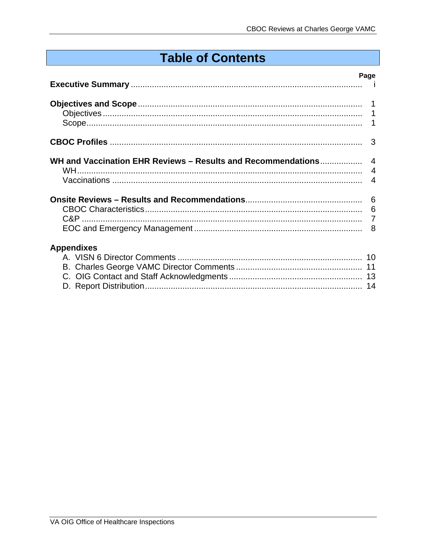# **Table of Contents**

|                   | Page |
|-------------------|------|
|                   |      |
|                   |      |
|                   |      |
|                   |      |
| <b>Appendixes</b> |      |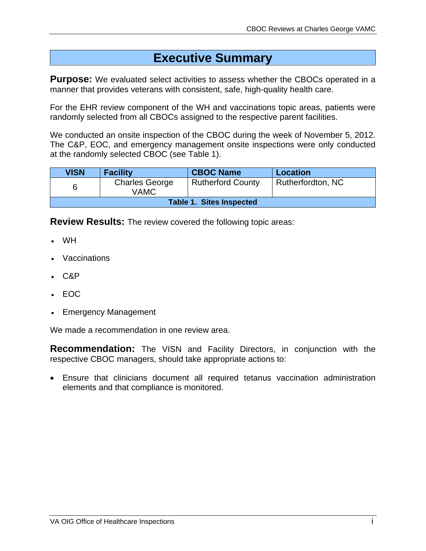# **Executive Summary**

**Purpose:** We evaluated select activities to assess whether the CBOCs operated in a manner that provides veterans with consistent, safe, high-quality health care.

For the EHR review component of the WH and vaccinations topic areas, patients were randomly selected from all CBOCs assigned to the respective parent facilities.

We conducted an onsite inspection of the CBOC during the week of November 5, 2012. The C&P, EOC, and emergency management onsite inspections were only conducted at the randomly selected CBOC (see Table 1).

| <b>VISN</b> | <b>Facility</b>                 | <b>CBOC Name</b>         | <b>Location</b>   |
|-------------|---------------------------------|--------------------------|-------------------|
| 6           | <b>Charles George</b><br>VAMC   | <b>Rutherford County</b> | Rutherfordton, NC |
|             | <b>Table 1. Sites Inspected</b> |                          |                   |

**Review Results:** The review covered the following topic areas:

- WH
- Vaccinations
- $-C&P$
- $-$  FOC
- Emergency Management

We made a recommendation in one review area.

**Recommendation:** The VISN and Facility Directors, in conjunction with the respective CBOC managers, should take appropriate actions to:

 Ensure that clinicians document all required tetanus vaccination administration elements and that compliance is monitored.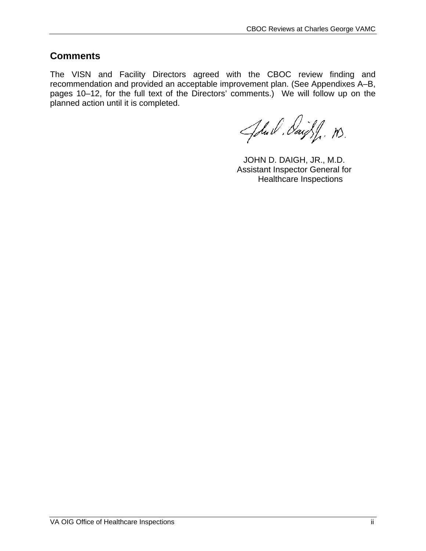### **Comments**

The VISN and Facility Directors agreed with the CBOC review finding and recommendation and provided an acceptable improvement plan. (See Appendixes A–B, pages 10–12, for the full text of the Directors' comments.) We will follow up on the planned action until it is completed.

John Daight n.

JOHN D. DAIGH, JR., M.D. Assistant Inspector General for Healthcare Inspections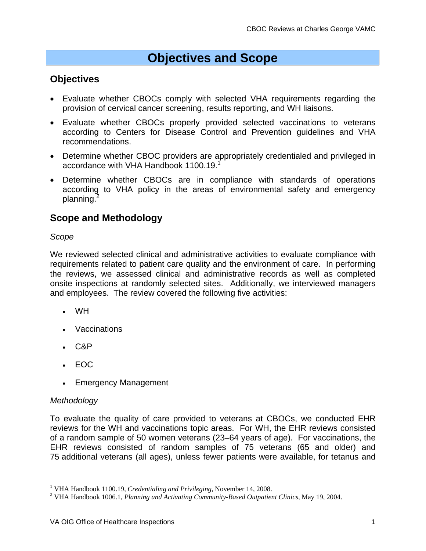# **Objectives and Scope**

### **Objectives**

- Evaluate whether CBOCs comply with selected VHA requirements regarding the provision of cervical cancer screening, results reporting, and WH liaisons.
- Evaluate whether CBOCs properly provided selected vaccinations to veterans according to Centers for Disease Control and Prevention guidelines and VHA recommendations.
- Determine whether CBOC providers are appropriately credentialed and privileged in accordance with VHA Handbook 1100.19.1
- Determine whether CBOCs are in compliance with standards of operations according to VHA policy in the areas of environmental safety and emergency planning.<sup>2</sup>

### **Scope and Methodology**

#### *Scope*

We reviewed selected clinical and administrative activities to evaluate compliance with requirements related to patient care quality and the environment of care. In performing the reviews, we assessed clinical and administrative records as well as completed onsite inspections at randomly selected sites. Additionally, we interviewed managers and employees. The review covered the following five activities:

- WH
- Vaccinations
- $C\&P$
- EOC
- Emergency Management

#### *Methodology*

1

To evaluate the quality of care provided to veterans at CBOCs, we conducted EHR reviews for the WH and vaccinations topic areas. For WH, the EHR reviews consisted of a random sample of 50 women veterans (23–64 years of age). For vaccinations, the EHR reviews consisted of random samples of 75 veterans (65 and older) and 75 additional veterans (all ages), unless fewer patients were available, for tetanus and

<sup>&</sup>lt;sup>1</sup> VHA Handbook 1100.19, *Credentialing and Privileging*, November 14, 2008.<br><sup>2</sup> VHA Handbook 1006.1, *Planning and Astivating Community Pased Outpatien* 

VHA Handbook 1006.1, *Planning and Activating Community-Based Outpatient Clinics,* May 19, 2004.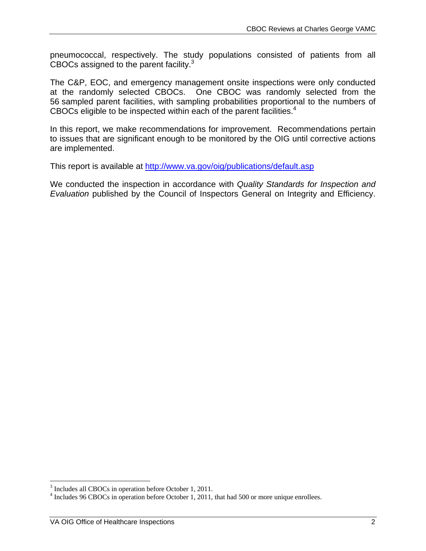pneumococcal, respectively. The study populations consisted of patients from all CBOCs assigned to the parent facility.<sup>3</sup>

The C&P, EOC, and emergency management onsite inspections were only conducted at the randomly selected CBOCs. One CBOC was randomly selected from the 56 sampled parent facilities, with sampling probabilities proportional to the numbers of CBOCs eligible to be inspected within each of the parent facilities. $4$ 

In this report, we make recommendations for improvement. Recommendations pertain to issues that are significant enough to be monitored by the OIG until corrective actions are implemented.

This report is available at <http://www.va.gov/oig/publications/default.asp>

We conducted the inspection in accordance with *Quality Standards for Inspection and Evaluation* published by the Council of Inspectors General on Integrity and Efficiency.

<sup>&</sup>lt;sup>3</sup> Includes all CBOCs in operation before October 1, 2011.

 $4$  Includes 96 CBOCs in operation before October 1, 2011, that had 500 or more unique enrollees.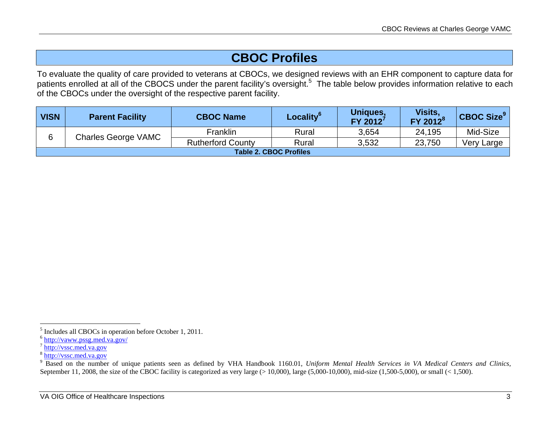# **CBOC Profiles**

To evaluate the quality of care provided to veterans at CBOCs, we designed reviews with an EHR component to capture data for patients enrolled at all of the CBOCS under the parent facility's oversight.<sup>5</sup> The table below provides information relative to each of the CBOCs under the oversight of the respective parent facility.

| <b>VISN</b> | <b>Parent Facility</b>     | <b>CBOC Name</b>         | Locality <sup>o</sup>         | <b>Uniques,</b><br>$FY$ 2012 <sup>7</sup> | Visits,<br>$FY$ 2012 $^8$ | $ {\sf CBOC\ Size}^9 $ |
|-------------|----------------------------|--------------------------|-------------------------------|-------------------------------------------|---------------------------|------------------------|
| 6           | <b>Charles George VAMC</b> | Franklin                 | Rural                         | 3,654                                     | 24,195                    | Mid-Size               |
|             |                            | <b>Rutherford County</b> | Rural                         | 3,532                                     | 23,750                    | Very Large             |
|             |                            |                          | <b>Table 2. CBOC Profiles</b> |                                           |                           |                        |

<sup>5</sup> Includes all CBOCs in operation before October 1, 2011.

<sup>6</sup> <http://vaww.pssg.med.va.gov/>

<sup>7</sup> <http://vssc.med.va.gov>

<sup>8</sup> <http://vssc.med.va.gov>

<sup>&</sup>lt;sup>9</sup> Based on the number of unique patients seen as defined by VHA Handbook 1160.01, *Uniform Mental Health Services in VA Medical Centers and Clinics*, September 11, 2008, the size of the CBOC facility is categorized as very large  $(>10,000)$ , large  $(5,000-10,000)$ , mid-size  $(1,500-5,000)$ , or small  $(< 1,500)$ .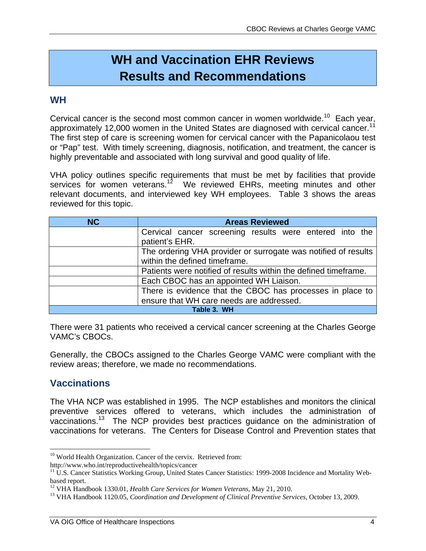# **WH and Vaccination EHR Reviews Results and Recommendations**

### **WH**

approximately 12,000 women in the United States are diagnosed with cervical cancer.<sup>11</sup> Cervical cancer is the second most common cancer in women worldwide.<sup>10</sup> Each vear, The first step of care is screening women for cervical cancer with the Papanicolaou test or "Pap" test. With timely screening, diagnosis, notification, and treatment, the cancer is highly preventable and associated with long survival and good quality of life.

VHA policy outlines specific requirements that must be met by facilities that provide services for women veterans.<sup>12</sup> We reviewed EHRs, meeting minutes and other relevant documents, and interviewed key WH employees. Table 3 shows the areas reviewed for this topic.

| <b>NC</b> | <b>Areas Reviewed</b>                                           |
|-----------|-----------------------------------------------------------------|
|           | Cervical cancer screening results were entered into the         |
|           | patient's EHR.                                                  |
|           | The ordering VHA provider or surrogate was notified of results  |
|           | within the defined timeframe.                                   |
|           | Patients were notified of results within the defined timeframe. |
|           | Each CBOC has an appointed WH Liaison.                          |
|           | There is evidence that the CBOC has processes in place to       |
|           | ensure that WH care needs are addressed.                        |
|           | Table 3. WH                                                     |

There were 31 patients who received a cervical cancer screening at the Charles George VAMC's CBOCs.

Generally, the CBOCs assigned to the Charles George VAMC were compliant with the review areas; therefore, we made no recommendations.

### **Vaccinations**

The VHA NCP was established in 1995. The NCP establishes and monitors the clinical preventive services offered to veterans, which includes the administration of vaccinations.13 The NCP provides best practices guidance on the administration of vaccinations for veterans. The Centers for Disease Control and Prevention states that

 $\overline{a}$ <sup>10</sup> World Health Organization. Cancer of the cervix. Retrieved from:<br>http://www.who.int/reproductivehealth/topics/cancer

 $h<sup>11</sup>$  U.S. Cancer Statistics Working Group, United States Cancer Statistics: 1999-2008 Incidence and Mortality Webbased report.

<sup>&</sup>lt;sup>12</sup> VHA Handbook 1330.01, *Health Care Services for Women Veterans*, May 21, 2010.<br><sup>13</sup> VHA Handbook 1120.05, *Coordination and Development of Clinical Preventive Services*, October 13, 2009.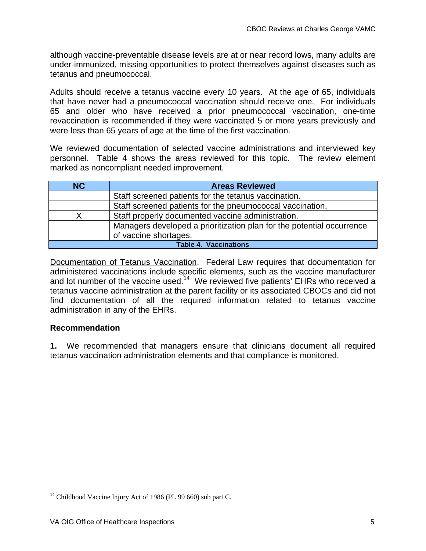although vaccine-preventable disease levels are at or near record lows, many adults are under-immunized, missing opportunities to protect themselves against diseases such as tetanus and pneumococcal.

Adults should receive a tetanus vaccine every 10 years. At the age of 65, individuals that have never had a pneumococcal vaccination should receive one. For individuals 65 and older who have received a prior pneumococcal vaccination, one-time revaccination is recommended if they were vaccinated 5 or more years previously and were less than 65 years of age at the time of the first vaccination.

 personnel. Table 4 shows the areas reviewed for this topic. The review element We reviewed documentation of selected vaccine administrations and interviewed key marked as noncompliant needed improvement.

| <b>NC</b>                    | <b>Areas Reviewed</b>                                                 |
|------------------------------|-----------------------------------------------------------------------|
|                              | Staff screened patients for the tetanus vaccination.                  |
|                              | Staff screened patients for the pneumococcal vaccination.             |
|                              | Staff properly documented vaccine administration.                     |
|                              | Managers developed a prioritization plan for the potential occurrence |
|                              | of vaccine shortages.                                                 |
| <b>Table 4. Vaccinations</b> |                                                                       |

Documentation of Tetanus Vaccination. Federal Law requires that documentation for administered vaccinations include specific elements, such as the vaccine manufacturer and lot number of the vaccine used.<sup>14</sup> We reviewed five patients' EHRs who received a tetanus vaccine administration at the parent facility or its associated CBOCs and did not find documentation of all the required information related to tetanus vaccine administration in any of the EHRs.

#### **Recommendation**

<u>.</u>

**1.** We recommended that managers ensure that clinicians document all required tetanus vaccination administration elements and that compliance is monitored.

<sup>&</sup>lt;sup>14</sup> Childhood Vaccine Injury Act of 1986 (PL 99 660) sub part C.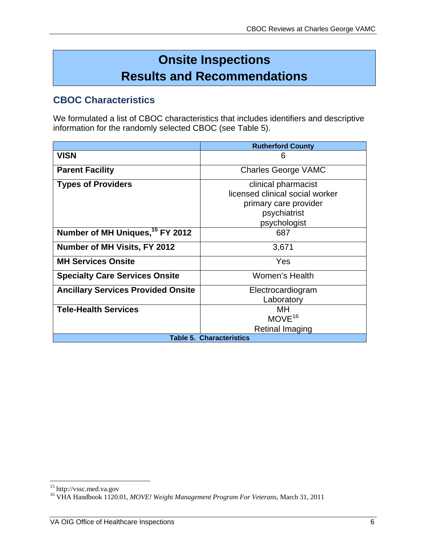# **Onsite Inspections Results and Recommendations**

### **CBOC Characteristics**

We formulated a list of CBOC characteristics that includes identifiers and descriptive information for the randomly selected CBOC (see Table 5).

|                                             | <b>Rutherford County</b>        |
|---------------------------------------------|---------------------------------|
| <b>VISN</b>                                 | 6                               |
| <b>Parent Facility</b>                      | <b>Charles George VAMC</b>      |
| <b>Types of Providers</b>                   | clinical pharmacist             |
|                                             | licensed clinical social worker |
|                                             | primary care provider           |
|                                             | psychiatrist                    |
|                                             | psychologist                    |
| Number of MH Uniques, <sup>15</sup> FY 2012 | 687                             |
| Number of MH Visits, FY 2012                | 3,671                           |
| <b>MH Services Onsite</b>                   | Yes                             |
| <b>Specialty Care Services Onsite</b>       | Women's Health                  |
| <b>Ancillary Services Provided Onsite</b>   | Electrocardiogram               |
|                                             | Laboratory                      |
| <b>Tele-Health Services</b>                 | MН                              |
|                                             | $MOVE^{16}$                     |
|                                             | Retinal Imaging                 |
|                                             | <b>Table 5. Characteristics</b> |

 $\overline{a}$ 

<sup>&</sup>lt;sup>15</sup> http://vssc.med.va.gov

<sup>16</sup> VHA Handbook 1120.01, *MOVE! Weight Management Program For Veterans*, March 31, 2011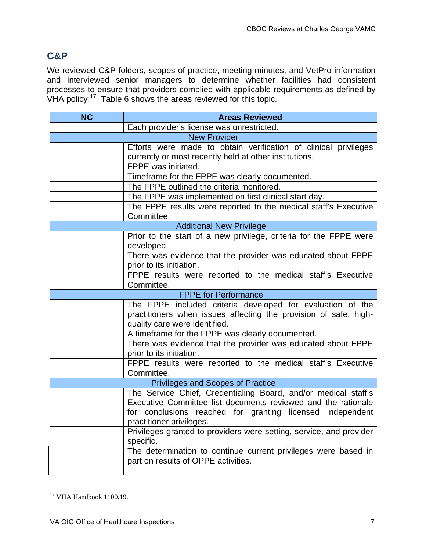### **C&P**

We reviewed C&P folders, scopes of practice, meeting minutes, and VetPro information and interviewed senior managers to determine whether facilities had consistent processes to ensure that providers complied with applicable requirements as defined by VHA policy.<sup>17</sup> Table 6 shows the areas reviewed for this topic.

| <b>NC</b> | <b>Areas Reviewed</b>                                                                    |  |
|-----------|------------------------------------------------------------------------------------------|--|
|           | Each provider's license was unrestricted.                                                |  |
|           | <b>New Provider</b>                                                                      |  |
|           | Efforts were made to obtain verification of clinical privileges                          |  |
|           | currently or most recently held at other institutions.                                   |  |
|           | FPPE was initiated.                                                                      |  |
|           | Timeframe for the FPPE was clearly documented.                                           |  |
|           | The FPPE outlined the criteria monitored.                                                |  |
|           | The FPPE was implemented on first clinical start day.                                    |  |
|           | The FPPE results were reported to the medical staff's Executive                          |  |
|           | Committee.                                                                               |  |
|           | <b>Additional New Privilege</b>                                                          |  |
|           | Prior to the start of a new privilege, criteria for the FPPE were<br>developed.          |  |
|           | There was evidence that the provider was educated about FPPE                             |  |
|           | prior to its initiation.                                                                 |  |
|           | FPPE results were reported to the medical staff's Executive                              |  |
|           | Committee.                                                                               |  |
|           | <b>FPPE</b> for Performance                                                              |  |
|           | The FPPE included criteria developed for evaluation of the                               |  |
|           | practitioners when issues affecting the provision of safe, high-                         |  |
|           | quality care were identified.                                                            |  |
|           | A timeframe for the FPPE was clearly documented.                                         |  |
|           | There was evidence that the provider was educated about FPPE<br>prior to its initiation. |  |
|           | FPPE results were reported to the medical staff's Executive<br>Committee.                |  |
|           | <b>Privileges and Scopes of Practice</b>                                                 |  |
|           | The Service Chief, Credentialing Board, and/or medical staff's                           |  |
|           | Executive Committee list documents reviewed and the rationale                            |  |
|           | for conclusions reached for granting licensed independent                                |  |
|           | practitioner privileges.                                                                 |  |
|           | Privileges granted to providers were setting, service, and provider<br>specific.         |  |
|           | The determination to continue current privileges were based in                           |  |
|           | part on results of OPPE activities.                                                      |  |

 $\overline{a}$  $17$  VHA Handbook 1100.19.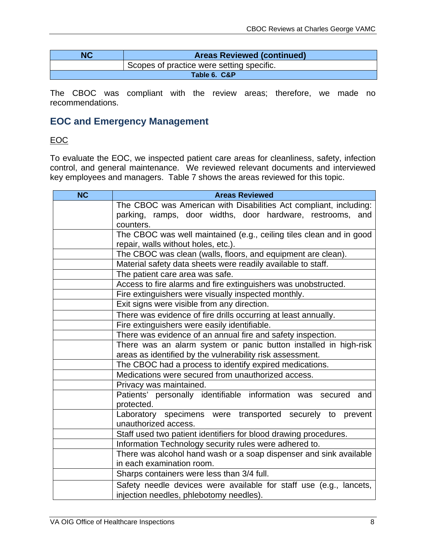| NC<br><b>Areas Reviewed (continued)</b> |                                           |
|-----------------------------------------|-------------------------------------------|
|                                         | Scopes of practice were setting specific. |
|                                         | Table 6. C&P                              |

The CBOC was compliant with the review areas; therefore, we made no recommendations.

### **EOC and Emergency Management**

#### EOC

To evaluate the EOC, we inspected patient care areas for cleanliness, safety, infection control, and general maintenance. We reviewed relevant documents and interviewed key employees and managers. Table 7 shows the areas reviewed for this topic.

| <b>NC</b> | <b>Areas Reviewed</b>                                               |
|-----------|---------------------------------------------------------------------|
|           | The CBOC was American with Disabilities Act compliant, including:   |
|           | parking, ramps, door widths, door hardware, restrooms, and          |
|           | counters.                                                           |
|           | The CBOC was well maintained (e.g., ceiling tiles clean and in good |
|           | repair, walls without holes, etc.).                                 |
|           | The CBOC was clean (walls, floors, and equipment are clean).        |
|           | Material safety data sheets were readily available to staff.        |
|           | The patient care area was safe.                                     |
|           | Access to fire alarms and fire extinguishers was unobstructed.      |
|           | Fire extinguishers were visually inspected monthly.                 |
|           | Exit signs were visible from any direction.                         |
|           | There was evidence of fire drills occurring at least annually.      |
|           | Fire extinguishers were easily identifiable.                        |
|           | There was evidence of an annual fire and safety inspection.         |
|           | There was an alarm system or panic button installed in high-risk    |
|           | areas as identified by the vulnerability risk assessment.           |
|           | The CBOC had a process to identify expired medications.             |
|           | Medications were secured from unauthorized access.                  |
|           | Privacy was maintained.                                             |
|           | Patients' personally identifiable information was secured<br>and    |
|           | protected.                                                          |
|           | Laboratory specimens were transported securely to<br>prevent        |
|           | unauthorized access.                                                |
|           | Staff used two patient identifiers for blood drawing procedures.    |
|           | Information Technology security rules were adhered to.              |
|           | There was alcohol hand wash or a soap dispenser and sink available  |
|           | in each examination room.                                           |
|           | Sharps containers were less than 3/4 full.                          |
|           | Safety needle devices were available for staff use (e.g., lancets,  |
|           | injection needles, phlebotomy needles).                             |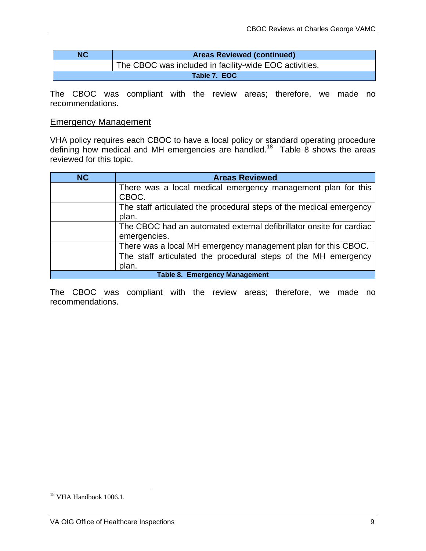| <b>NC</b> | <b>Areas Reviewed (continued)</b>                      |
|-----------|--------------------------------------------------------|
|           | The CBOC was included in facility-wide EOC activities. |
|           | Table 7. EOC                                           |

The CBOC was compliant with the review areas; therefore, we made no recommendations.

#### Emergency Management

VHA policy requires each CBOC to have a local policy or standard operating procedure defining how medical and MH emergencies are handled.<sup>18</sup> Table 8 shows the areas reviewed for this topic.

| <b>NC</b>                            | <b>Areas Reviewed</b>                                               |
|--------------------------------------|---------------------------------------------------------------------|
|                                      | There was a local medical emergency management plan for this        |
|                                      | CBOC.                                                               |
|                                      | The staff articulated the procedural steps of the medical emergency |
|                                      | plan.                                                               |
|                                      | The CBOC had an automated external defibrillator onsite for cardiac |
|                                      | emergencies.                                                        |
|                                      | There was a local MH emergency management plan for this CBOC.       |
|                                      | The staff articulated the procedural steps of the MH emergency      |
|                                      | plan.                                                               |
| <b>Table 8. Emergency Management</b> |                                                                     |

The CBOC was compliant with the review areas; therefore, we made no recommendations.

 $\overline{a}$ 

 $18$  VHA Handbook 1006.1.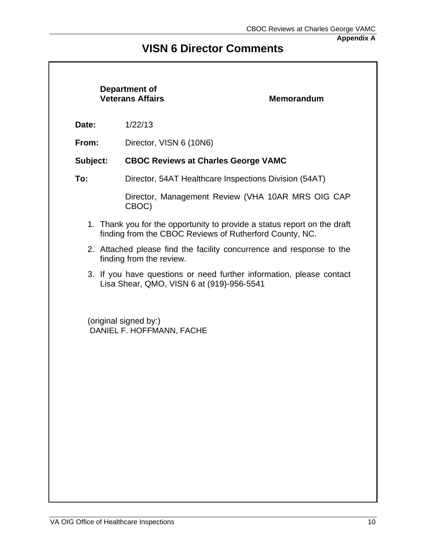**Appendix A** 

### **VISN 6 Director Comments**

|          | Department of<br><b>Veterans Affairs</b>           | <b>Memorandum</b>                                                                                                                   |
|----------|----------------------------------------------------|-------------------------------------------------------------------------------------------------------------------------------------|
| Date:    | 1/22/13                                            |                                                                                                                                     |
| From:    | Director, VISN 6 (10N6)                            |                                                                                                                                     |
| Subject: | <b>CBOC Reviews at Charles George VAMC</b>         |                                                                                                                                     |
| To:      |                                                    | Director, 54AT Healthcare Inspections Division (54AT)                                                                               |
|          | CBOC)                                              | Director, Management Review (VHA 10AR MRS OIG CAP                                                                                   |
|          |                                                    | 1. Thank you for the opportunity to provide a status report on the draft<br>finding from the CBOC Reviews of Rutherford County, NC. |
|          | finding from the review.                           | 2. Attached please find the facility concurrence and response to the                                                                |
|          | Lisa Shear, QMO, VISN 6 at (919)-956-5541          | 3. If you have questions or need further information, please contact                                                                |
|          | (original signed by:)<br>DANIEL F. HOFFMANN, FACHE |                                                                                                                                     |
|          |                                                    |                                                                                                                                     |
|          |                                                    |                                                                                                                                     |
|          |                                                    |                                                                                                                                     |
|          |                                                    |                                                                                                                                     |
|          |                                                    |                                                                                                                                     |
|          |                                                    |                                                                                                                                     |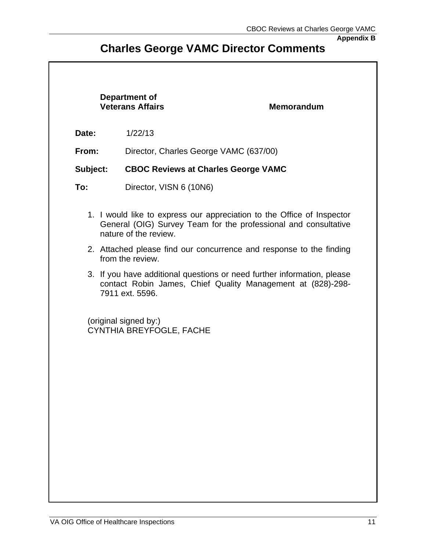**Appendix B** 

### **Charles George VAMC Director Comments**

#### **Department of Veterans Affairs Memorandum**

**Date:** 1/22/13

**From:** Director, Charles George VAMC (637/00)

**Subject: CBOC Reviews at Charles George VAMC** 

- **To:** Director, VISN 6 (10N6)
	- 1. I would like to express our appreciation to the Office of Inspector General (OIG) Survey Team for the professional and consultative nature of the review.
	- 2. Attached please find our concurrence and response to the finding from the review.
	- 3. If you have additional questions or need further information, please contact Robin James, Chief Quality Management at (828)-298- 7911 ext. 5596.

(original signed by:) CYNTHIA BREYFOGLE, FACHE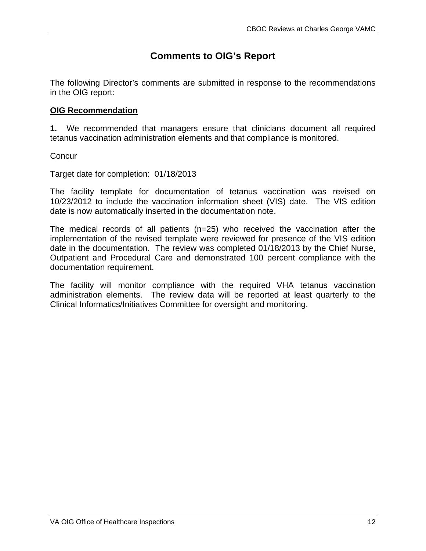### **Comments to OIG's Report**

The following Director's comments are submitted in response to the recommendations in the OIG report:

#### **OIG Recommendation**

**1.** We recommended that managers ensure that clinicians document all required tetanus vaccination administration elements and that compliance is monitored.

**Concur** 

Target date for completion: 01/18/2013

The facility template for documentation of tetanus vaccination was revised on 10/23/2012 to include the vaccination information sheet (VIS) date. The VIS edition date is now automatically inserted in the documentation note.

The medical records of all patients (n=25) who received the vaccination after the implementation of the revised template were reviewed for presence of the VIS edition date in the documentation. The review was completed 01/18/2013 by the Chief Nurse, Outpatient and Procedural Care and demonstrated 100 percent compliance with the documentation requirement.

The facility will monitor compliance with the required VHA tetanus vaccination administration elements. The review data will be reported at least quarterly to the Clinical Informatics/Initiatives Committee for oversight and monitoring.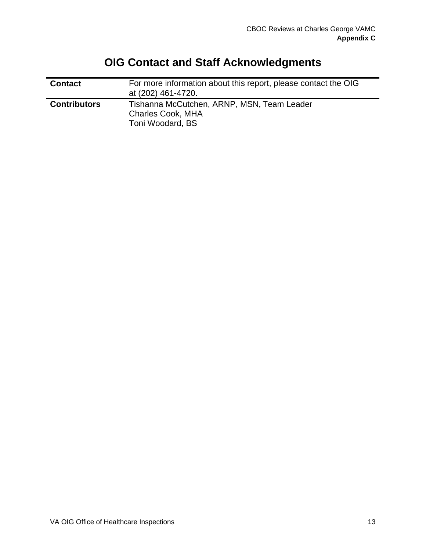| <b>Contact</b>      | For more information about this report, please contact the OIG<br>at (202) 461-4720.       |
|---------------------|--------------------------------------------------------------------------------------------|
| <b>Contributors</b> | Tishanna McCutchen, ARNP, MSN, Team Leader<br><b>Charles Cook, MHA</b><br>Toni Woodard, BS |

# **OIG Contact and Staff Acknowledgments**